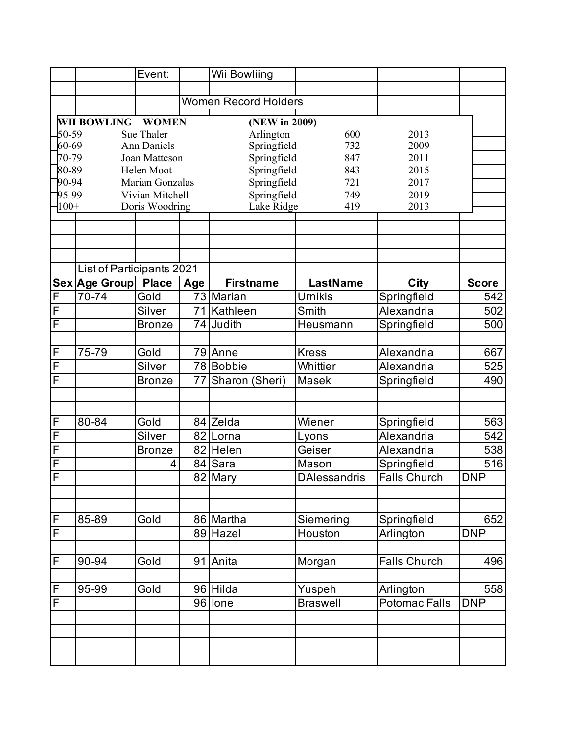|                          |                             | Event:        |     | Wii Bowliing                |                     |                      |              |
|--------------------------|-----------------------------|---------------|-----|-----------------------------|---------------------|----------------------|--------------|
|                          |                             |               |     |                             |                     |                      |              |
|                          |                             |               |     | <b>Women Record Holders</b> |                     |                      |              |
|                          | <b>WII BOWLING - WOMEN</b>  |               |     | (NEW in 2009)               |                     |                      |              |
| 50-59                    |                             | Sue Thaler    |     | Arlington                   | 600                 | 2013                 |              |
|                          | 60-69<br><b>Ann Daniels</b> |               |     | Springfield                 | 732                 | 2009                 |              |
| 70-79<br>Joan Matteson   |                             |               |     | Springfield                 | 847                 | 2011                 |              |
| 80-89<br>Helen Moot      |                             |               |     | Springfield                 | 843                 | 2015                 |              |
| 90-94<br>Marian Gonzalas |                             |               |     | Springfield                 | 721                 | 2017                 |              |
| 95-99<br>Vivian Mitchell |                             |               |     | Springfield                 | 749                 | 2019                 |              |
| $100+$<br>Doris Woodring |                             |               |     | Lake Ridge                  | 419                 | 2013                 |              |
|                          |                             |               |     |                             |                     |                      |              |
|                          |                             |               |     |                             |                     |                      |              |
|                          |                             |               |     |                             |                     |                      |              |
|                          | List of Participants 2021   |               |     |                             |                     |                      |              |
|                          | Sex Age Group               | <b>Place</b>  |     | <b>Firstname</b>            | <b>LastName</b>     | City                 | <b>Score</b> |
| $\mathsf F$              | 70-74                       | Gold          | Age | 73 Marian                   | <b>Urnikis</b>      |                      | 542          |
|                          |                             |               |     |                             |                     | Springfield          |              |
| $\overline{F}$           |                             | <b>Silver</b> | 71  | Kathleen                    | Smith               | Alexandria           | 502          |
| F                        |                             | <b>Bronze</b> | 74  | Judith                      | Heusmann            | Springfield          | 500          |
|                          |                             |               |     |                             |                     |                      |              |
| F                        | 75-79                       | Gold          |     | 79 Anne                     | <b>Kress</b>        | Alexandria           | 667          |
| F                        |                             | Silver        |     | 78 Bobbie                   | Whittier            | Alexandria           | 525          |
| $\overline{\mathsf{F}}$  |                             | <b>Bronze</b> | 77  | Sharon (Sheri)              | Masek               | Springfield          | 490          |
|                          |                             |               |     |                             |                     |                      |              |
|                          |                             |               |     |                             |                     |                      |              |
| $\overline{F}$           | 80-84                       | Gold          | 84  | Zelda                       | Wiener              | Springfield          | 563          |
| $\overline{F}$           |                             | Silver        | 82  | Lorna                       | Lyons               | Alexandria           | 542          |
| $\overline{F}$           |                             | <b>Bronze</b> | 82  | Helen                       | Geiser              | Alexandria           | 538          |
| $\overline{F}$           |                             | 4             | 84  | Sara                        | Mason               | Springfield          | 516          |
| F                        |                             |               | 82  | Mary                        | <b>DAlessandris</b> | <b>Falls Church</b>  | <b>DNP</b>   |
|                          |                             |               |     |                             |                     |                      |              |
|                          |                             |               |     |                             |                     |                      |              |
| F                        | 85-89                       | Gold          |     | 86 Martha                   | Siemering           | Springfield          | 652          |
| $\overline{\mathsf{F}}$  |                             |               | 89  | Hazel                       | Houston             | Arlington            | <b>DNP</b>   |
|                          |                             |               |     |                             |                     |                      |              |
| $\mathsf F$              | 90-94                       | Gold          | 91  | Anita                       | Morgan              | <b>Falls Church</b>  | 496          |
|                          |                             |               |     |                             |                     |                      |              |
| $\overline{F}$           | 95-99                       | Gold          |     | 96 Hilda                    | Yuspeh              | Arlington            | 558          |
| $\overline{\mathsf{F}}$  |                             |               | 96  | lone                        | <b>Braswell</b>     | <b>Potomac Falls</b> | <b>DNP</b>   |
|                          |                             |               |     |                             |                     |                      |              |
|                          |                             |               |     |                             |                     |                      |              |
|                          |                             |               |     |                             |                     |                      |              |
|                          |                             |               |     |                             |                     |                      |              |
|                          |                             |               |     |                             |                     |                      |              |